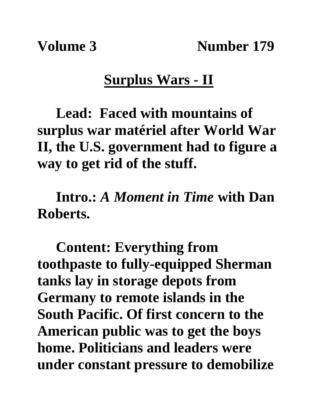**Volume 3** Number 179

## **Surplus Wars - II**

**Lead: Faced with mountains of surplus war matériel after World War II, the U.S. government had to figure a way to get rid of the stuff.**

**Intro.:** *A Moment in Time* **with Dan Roberts.**

**Content: Everything from toothpaste to fully-equipped Sherman tanks lay in storage depots from Germany to remote islands in the South Pacific. Of first concern to the American public was to get the boys home. Politicians and leaders were under constant pressure to demobilize**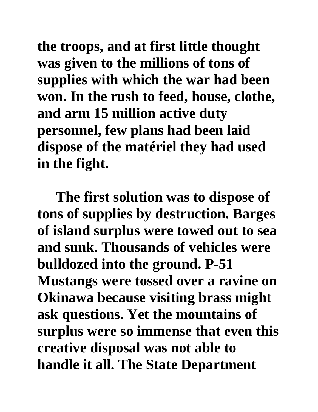**the troops, and at first little thought was given to the millions of tons of supplies with which the war had been won. In the rush to feed, house, clothe, and arm 15 million active duty personnel, few plans had been laid dispose of the matériel they had used in the fight.** 

**The first solution was to dispose of tons of supplies by destruction. Barges of island surplus were towed out to sea and sunk. Thousands of vehicles were bulldozed into the ground. P-51 Mustangs were tossed over a ravine on Okinawa because visiting brass might ask questions. Yet the mountains of surplus were so immense that even this creative disposal was not able to handle it all. The State Department**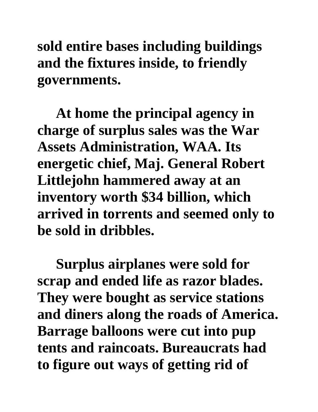**sold entire bases including buildings and the fixtures inside, to friendly governments.** 

**At home the principal agency in charge of surplus sales was the War Assets Administration, WAA. Its energetic chief, Maj. General Robert Littlejohn hammered away at an inventory worth \$34 billion, which arrived in torrents and seemed only to be sold in dribbles.**

**Surplus airplanes were sold for scrap and ended life as razor blades. They were bought as service stations and diners along the roads of America. Barrage balloons were cut into pup tents and raincoats. Bureaucrats had to figure out ways of getting rid of**